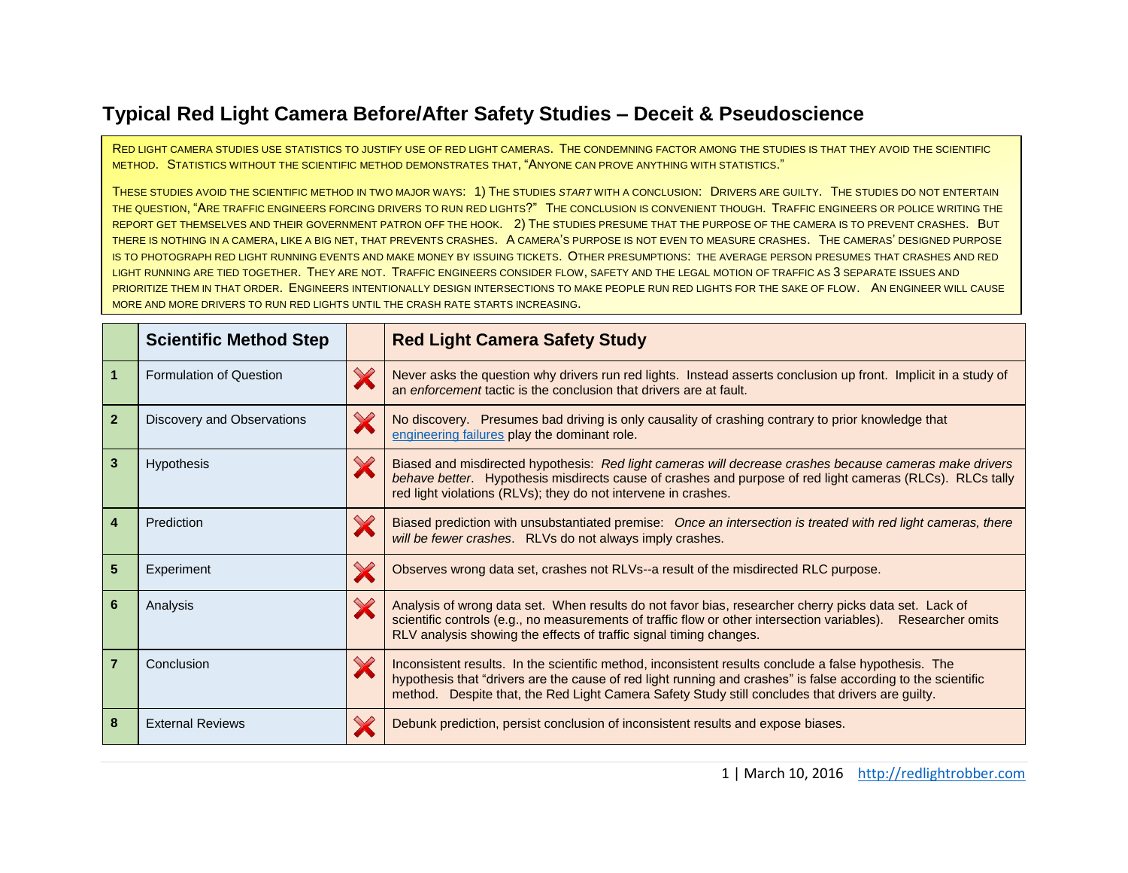## **Typical Red Light Camera Before/After Safety Studies – Deceit & Pseudoscience**

RED LIGHT CAMERA STUDIES USE STATISTICS TO JUSTIFY USE OF RED LIGHT CAMERAS. THE CONDEMNING FACTOR AMONG THE STUDIES IS THAT THEY AVOID THE SCIENTIFIC METHOD. STATISTICS WITHOUT THE SCIENTIFIC METHOD DEMONSTRATES THAT, "ANYONE CAN PROVE ANYTHING WITH STATISTICS."

THESE STUDIES AVOID THE SCIENTIFIC METHOD IN TWO MAJOR WAYS: 1) THE STUDIES *START* WITH A CONCLUSION: DRIVERS ARE GUILTY. THE STUDIES DO NOT ENTERTAIN THE QUESTION, "ARE TRAFFIC ENGINEERS FORCING DRIVERS TO RUN RED LIGHTS?" THE CONCLUSION IS CONVENIENT THOUGH. TRAFFIC ENGINEERS OR POLICE WRITING THE REPORT GET THEMSELVES AND THEIR GOVERNMENT PATRON OFF THE HOOK. 2) THE STUDIES PRESUME THAT THE PURPOSE OF THE CAMERA IS TO PREVENT CRASHES. BUT THERE IS NOTHING IN A CAMERA, LIKE A BIG NET, THAT PREVENTS CRASHES. A CAMERA'S PURPOSE IS NOT EVEN TO MEASURE CRASHES. THE CAMERAS' DESIGNED PURPOSE IS TO PHOTOGRAPH RED LIGHT RUNNING EVENTS AND MAKE MONEY BY ISSUING TICKETS. OTHER PRESUMPTIONS: THE AVERAGE PERSON PRESUMES THAT CRASHES AND RED LIGHT RUNNING ARE TIED TOGETHER. THEY ARE NOT. TRAFFIC ENGINEERS CONSIDER FLOW, SAFETY AND THE LEGAL MOTION OF TRAFFIC AS 3 SEPARATE ISSUES AND PRIORITIZE THEM IN THAT ORDER. ENGINEERS INTENTIONALLY DESIGN INTERSECTIONS TO MAKE PEOPLE RUN RED LIGHTS FOR THE SAKE OF FLOW. AN ENGINEER WILL CAUSE MORE AND MORE DRIVERS TO RUN RED LIGHTS UNTIL THE CRASH RATE STARTS INCREASING.

|                  | <b>Scientific Method Step</b> | <b>Red Light Camera Safety Study</b>                                                                                                                                                                                                                                                                                       |
|------------------|-------------------------------|----------------------------------------------------------------------------------------------------------------------------------------------------------------------------------------------------------------------------------------------------------------------------------------------------------------------------|
| $\mathbf{1}$     | Formulation of Question       | Never asks the question why drivers run red lights. Instead asserts conclusion up front. Implicit in a study of<br>an enforcement tactic is the conclusion that drivers are at fault.                                                                                                                                      |
| $\overline{2}$   | Discovery and Observations    | No discovery. Presumes bad driving is only causality of crashing contrary to prior knowledge that<br>engineering failures play the dominant role.                                                                                                                                                                          |
| 3                | <b>Hypothesis</b>             | Biased and misdirected hypothesis: Red light cameras will decrease crashes because cameras make drivers<br>behave better. Hypothesis misdirects cause of crashes and purpose of red light cameras (RLCs). RLCs tally<br>red light violations (RLVs); they do not intervene in crashes.                                     |
| $\boldsymbol{4}$ | Prediction                    | Biased prediction with unsubstantiated premise: Once an intersection is treated with red light cameras, there<br>will be fewer crashes. RLVs do not always imply crashes.                                                                                                                                                  |
| $5\phantom{1}$   | Experiment                    | Observes wrong data set, crashes not RLVs--a result of the misdirected RLC purpose.                                                                                                                                                                                                                                        |
| 6                | Analysis                      | Analysis of wrong data set. When results do not favor bias, researcher cherry picks data set. Lack of<br>scientific controls (e.g., no measurements of traffic flow or other intersection variables). Researcher omits<br>RLV analysis showing the effects of traffic signal timing changes.                               |
|                  | Conclusion                    | Inconsistent results. In the scientific method, inconsistent results conclude a false hypothesis. The<br>hypothesis that "drivers are the cause of red light running and crashes" is false according to the scientific<br>method. Despite that, the Red Light Camera Safety Study still concludes that drivers are guilty. |
| 8                | <b>External Reviews</b>       | Debunk prediction, persist conclusion of inconsistent results and expose biases.                                                                                                                                                                                                                                           |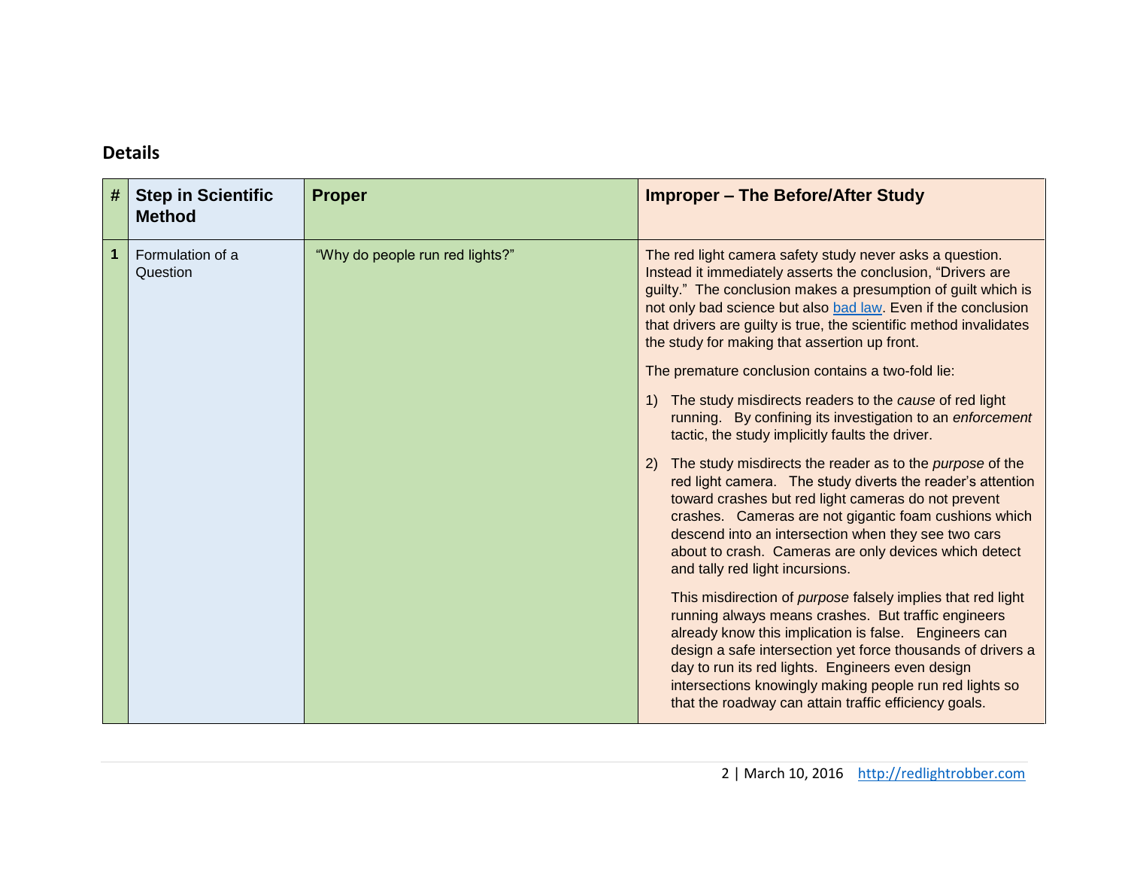## **Details**

| # | <b>Step in Scientific</b><br><b>Method</b> | <b>Proper</b>                   | <b>Improper - The Before/After Study</b>                                                                                                                                                                                                                                                                                                                                                                                  |
|---|--------------------------------------------|---------------------------------|---------------------------------------------------------------------------------------------------------------------------------------------------------------------------------------------------------------------------------------------------------------------------------------------------------------------------------------------------------------------------------------------------------------------------|
| 1 | Formulation of a<br>Question               | "Why do people run red lights?" | The red light camera safety study never asks a question.<br>Instead it immediately asserts the conclusion, "Drivers are<br>guilty." The conclusion makes a presumption of guilt which is<br>not only bad science but also bad law. Even if the conclusion<br>that drivers are guilty is true, the scientific method invalidates<br>the study for making that assertion up front.                                          |
|   |                                            |                                 | The premature conclusion contains a two-fold lie:                                                                                                                                                                                                                                                                                                                                                                         |
|   |                                            |                                 | The study misdirects readers to the cause of red light<br>running. By confining its investigation to an enforcement<br>tactic, the study implicitly faults the driver.                                                                                                                                                                                                                                                    |
|   |                                            |                                 | The study misdirects the reader as to the <i>purpose</i> of the<br>2)<br>red light camera. The study diverts the reader's attention<br>toward crashes but red light cameras do not prevent<br>crashes. Cameras are not gigantic foam cushions which<br>descend into an intersection when they see two cars<br>about to crash. Cameras are only devices which detect<br>and tally red light incursions.                    |
|   |                                            |                                 | This misdirection of <i>purpose</i> falsely implies that red light<br>running always means crashes. But traffic engineers<br>already know this implication is false. Engineers can<br>design a safe intersection yet force thousands of drivers a<br>day to run its red lights. Engineers even design<br>intersections knowingly making people run red lights so<br>that the roadway can attain traffic efficiency goals. |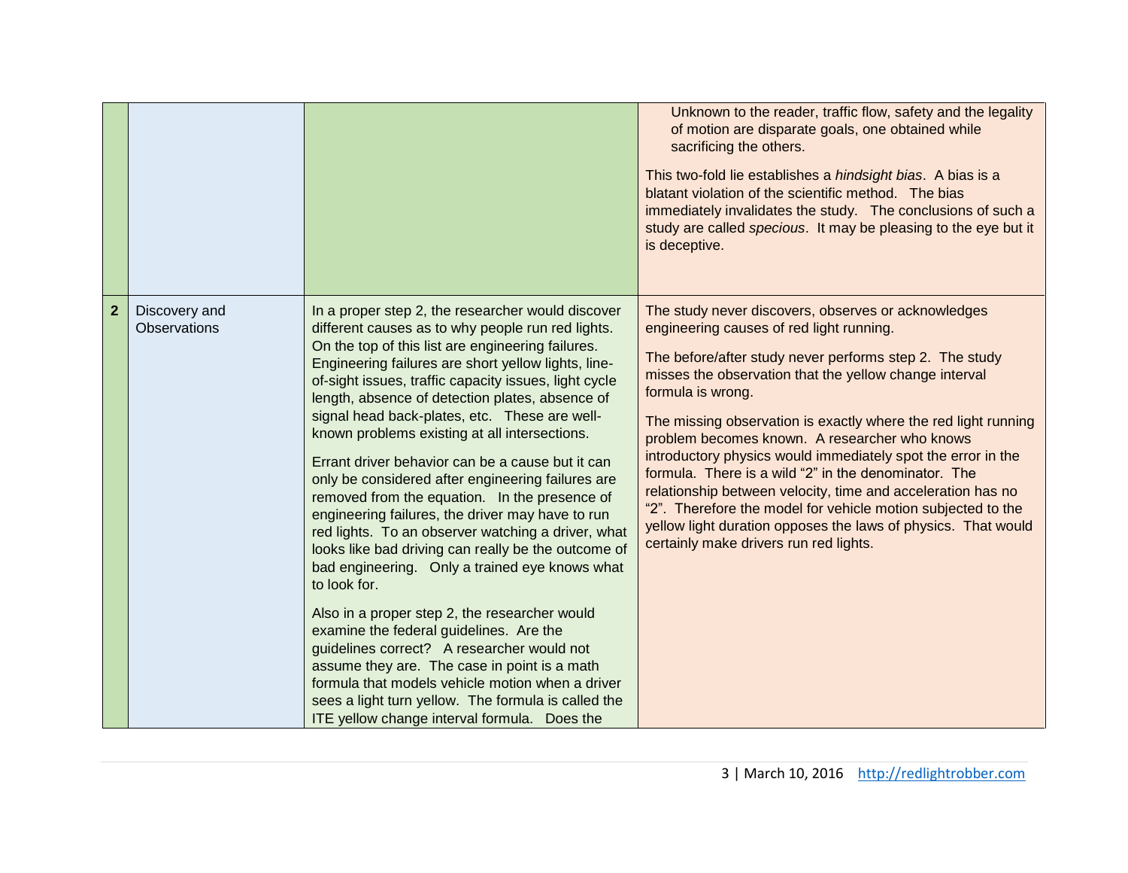|              |                               |                                                                                                                                                                                                                                                                                                                                                                                                                                                                                                                                                                                                                                                                                                                                                                                                                                                                                                                                                                                                                                                                                                                                                                                    | Unknown to the reader, traffic flow, safety and the legality<br>of motion are disparate goals, one obtained while<br>sacrificing the others.<br>This two-fold lie establishes a hindsight bias. A bias is a<br>blatant violation of the scientific method. The bias<br>immediately invalidates the study. The conclusions of such a<br>study are called specious. It may be pleasing to the eye but it<br>is deceptive.                                                                                                                                                                                                                                                                                                        |
|--------------|-------------------------------|------------------------------------------------------------------------------------------------------------------------------------------------------------------------------------------------------------------------------------------------------------------------------------------------------------------------------------------------------------------------------------------------------------------------------------------------------------------------------------------------------------------------------------------------------------------------------------------------------------------------------------------------------------------------------------------------------------------------------------------------------------------------------------------------------------------------------------------------------------------------------------------------------------------------------------------------------------------------------------------------------------------------------------------------------------------------------------------------------------------------------------------------------------------------------------|--------------------------------------------------------------------------------------------------------------------------------------------------------------------------------------------------------------------------------------------------------------------------------------------------------------------------------------------------------------------------------------------------------------------------------------------------------------------------------------------------------------------------------------------------------------------------------------------------------------------------------------------------------------------------------------------------------------------------------|
| $\mathbf{2}$ | Discovery and<br>Observations | In a proper step 2, the researcher would discover<br>different causes as to why people run red lights.<br>On the top of this list are engineering failures.<br>Engineering failures are short yellow lights, line-<br>of-sight issues, traffic capacity issues, light cycle<br>length, absence of detection plates, absence of<br>signal head back-plates, etc. These are well-<br>known problems existing at all intersections.<br>Errant driver behavior can be a cause but it can<br>only be considered after engineering failures are<br>removed from the equation. In the presence of<br>engineering failures, the driver may have to run<br>red lights. To an observer watching a driver, what<br>looks like bad driving can really be the outcome of<br>bad engineering. Only a trained eye knows what<br>to look for.<br>Also in a proper step 2, the researcher would<br>examine the federal guidelines. Are the<br>guidelines correct? A researcher would not<br>assume they are. The case in point is a math<br>formula that models vehicle motion when a driver<br>sees a light turn yellow. The formula is called the<br>ITE yellow change interval formula. Does the | The study never discovers, observes or acknowledges<br>engineering causes of red light running.<br>The before/after study never performs step 2. The study<br>misses the observation that the yellow change interval<br>formula is wrong.<br>The missing observation is exactly where the red light running<br>problem becomes known. A researcher who knows<br>introductory physics would immediately spot the error in the<br>formula. There is a wild "2" in the denominator. The<br>relationship between velocity, time and acceleration has no<br>"2". Therefore the model for vehicle motion subjected to the<br>yellow light duration opposes the laws of physics. That would<br>certainly make drivers run red lights. |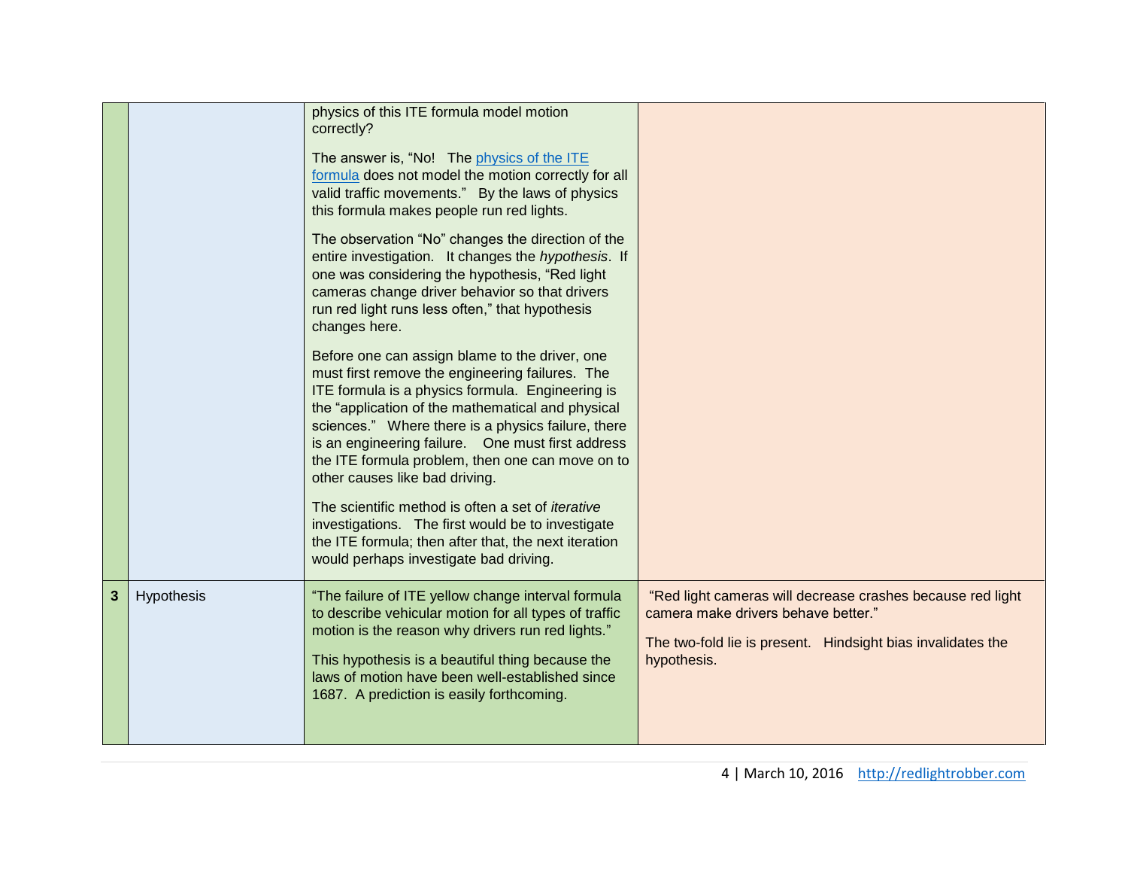|              |            | physics of this ITE formula model motion<br>correctly?<br>The answer is, "No! The physics of the ITE<br>formula does not model the motion correctly for all<br>valid traffic movements." By the laws of physics<br>this formula makes people run red lights.<br>The observation "No" changes the direction of the<br>entire investigation. It changes the hypothesis. If<br>one was considering the hypothesis, "Red light<br>cameras change driver behavior so that drivers<br>run red light runs less often," that hypothesis<br>changes here.<br>Before one can assign blame to the driver, one<br>must first remove the engineering failures. The<br>ITE formula is a physics formula. Engineering is<br>the "application of the mathematical and physical<br>sciences." Where there is a physics failure, there<br>is an engineering failure. One must first address<br>the ITE formula problem, then one can move on to<br>other causes like bad driving.<br>The scientific method is often a set of <i>iterative</i><br>investigations. The first would be to investigate<br>the ITE formula; then after that, the next iteration<br>would perhaps investigate bad driving. |                                                                                                                                                                                 |
|--------------|------------|------------------------------------------------------------------------------------------------------------------------------------------------------------------------------------------------------------------------------------------------------------------------------------------------------------------------------------------------------------------------------------------------------------------------------------------------------------------------------------------------------------------------------------------------------------------------------------------------------------------------------------------------------------------------------------------------------------------------------------------------------------------------------------------------------------------------------------------------------------------------------------------------------------------------------------------------------------------------------------------------------------------------------------------------------------------------------------------------------------------------------------------------------------------------------------|---------------------------------------------------------------------------------------------------------------------------------------------------------------------------------|
| $\mathbf{3}$ | Hypothesis | "The failure of ITE yellow change interval formula<br>to describe vehicular motion for all types of traffic<br>motion is the reason why drivers run red lights."<br>This hypothesis is a beautiful thing because the<br>laws of motion have been well-established since<br>1687. A prediction is easily forthcoming.                                                                                                                                                                                                                                                                                                                                                                                                                                                                                                                                                                                                                                                                                                                                                                                                                                                               | "Red light cameras will decrease crashes because red light<br>camera make drivers behave better."<br>The two-fold lie is present. Hindsight bias invalidates the<br>hypothesis. |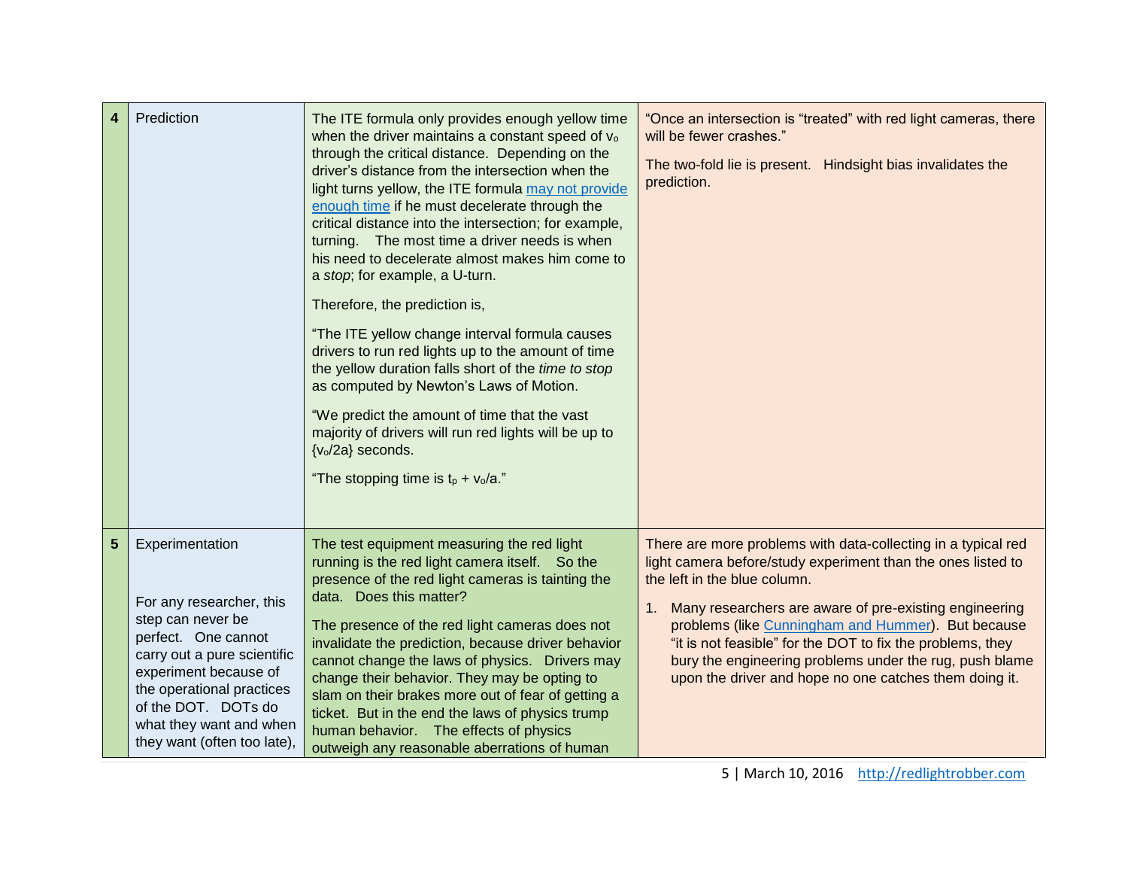| 4 | Prediction                                                                                                                                                                                                                                                    | The ITE formula only provides enough yellow time<br>when the driver maintains a constant speed of vo<br>through the critical distance. Depending on the<br>driver's distance from the intersection when the<br>light turns yellow, the ITE formula may not provide<br>enough time if he must decelerate through the<br>critical distance into the intersection; for example,<br>turning. The most time a driver needs is when<br>his need to decelerate almost makes him come to<br>a stop; for example, a U-turn.<br>Therefore, the prediction is,<br>"The ITE yellow change interval formula causes<br>drivers to run red lights up to the amount of time<br>the yellow duration falls short of the time to stop<br>as computed by Newton's Laws of Motion.<br>"We predict the amount of time that the vast<br>majority of drivers will run red lights will be up to<br>{v <sub>o</sub> /2a} seconds.<br>"The stopping time is $t_p + v_o/a$ ." | "Once an intersection is "treated" with red light cameras, there<br>will be fewer crashes."<br>The two-fold lie is present. Hindsight bias invalidates the<br>prediction.                                                                                                                                                                                                                                                                                              |
|---|---------------------------------------------------------------------------------------------------------------------------------------------------------------------------------------------------------------------------------------------------------------|---------------------------------------------------------------------------------------------------------------------------------------------------------------------------------------------------------------------------------------------------------------------------------------------------------------------------------------------------------------------------------------------------------------------------------------------------------------------------------------------------------------------------------------------------------------------------------------------------------------------------------------------------------------------------------------------------------------------------------------------------------------------------------------------------------------------------------------------------------------------------------------------------------------------------------------------------|------------------------------------------------------------------------------------------------------------------------------------------------------------------------------------------------------------------------------------------------------------------------------------------------------------------------------------------------------------------------------------------------------------------------------------------------------------------------|
| 5 | Experimentation<br>For any researcher, this<br>step can never be<br>perfect. One cannot<br>carry out a pure scientific<br>experiment because of<br>the operational practices<br>of the DOT. DOTs do<br>what they want and when<br>they want (often too late), | The test equipment measuring the red light<br>running is the red light camera itself. So the<br>presence of the red light cameras is tainting the<br>data. Does this matter?<br>The presence of the red light cameras does not<br>invalidate the prediction, because driver behavior<br>cannot change the laws of physics. Drivers may<br>change their behavior. They may be opting to<br>slam on their brakes more out of fear of getting a<br>ticket. But in the end the laws of physics trump<br>human behavior. The effects of physics<br>outweigh any reasonable aberrations of human                                                                                                                                                                                                                                                                                                                                                        | There are more problems with data-collecting in a typical red<br>light camera before/study experiment than the ones listed to<br>the left in the blue column.<br>Many researchers are aware of pre-existing engineering<br>1.<br>problems (like Cunningham and Hummer). But because<br>"it is not feasible" for the DOT to fix the problems, they<br>bury the engineering problems under the rug, push blame<br>upon the driver and hope no one catches them doing it. |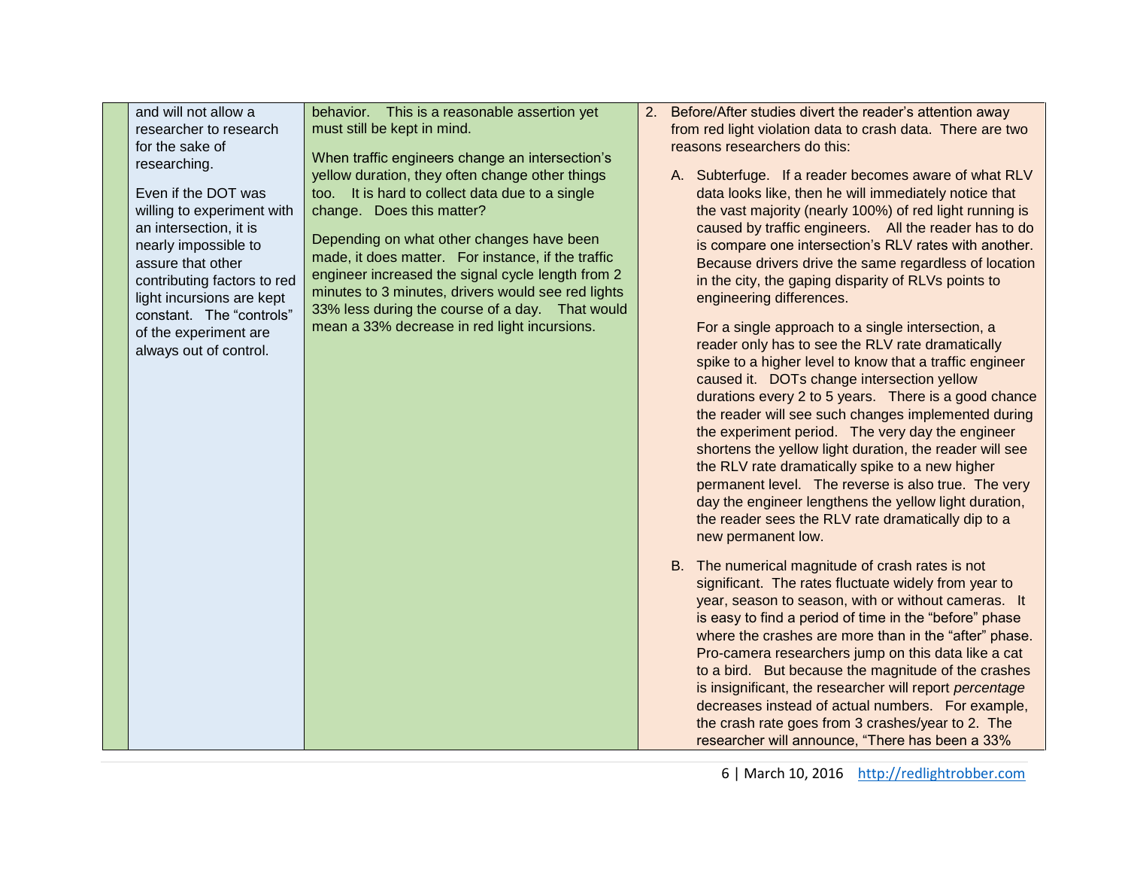| and will not allow a                                                                                                                                                                                                                                                                                                             | behavior. This is a reasonable assertion yet                                                                                                                                                                                                                                                                                                                                                                                                                                                                                        | Before/After studies divert the reader's attention away<br>2.                                                                                                                                                                                                                                                                                                                                                                                                                                                                                                                                                                                                                                                                                                                                                                                                                                                                                                                                                                                                                                                                                                                                                                                                                                                                                                                                                                                                                                                                                                                                                                                                                                                                                                                                                                                                   |
|----------------------------------------------------------------------------------------------------------------------------------------------------------------------------------------------------------------------------------------------------------------------------------------------------------------------------------|-------------------------------------------------------------------------------------------------------------------------------------------------------------------------------------------------------------------------------------------------------------------------------------------------------------------------------------------------------------------------------------------------------------------------------------------------------------------------------------------------------------------------------------|-----------------------------------------------------------------------------------------------------------------------------------------------------------------------------------------------------------------------------------------------------------------------------------------------------------------------------------------------------------------------------------------------------------------------------------------------------------------------------------------------------------------------------------------------------------------------------------------------------------------------------------------------------------------------------------------------------------------------------------------------------------------------------------------------------------------------------------------------------------------------------------------------------------------------------------------------------------------------------------------------------------------------------------------------------------------------------------------------------------------------------------------------------------------------------------------------------------------------------------------------------------------------------------------------------------------------------------------------------------------------------------------------------------------------------------------------------------------------------------------------------------------------------------------------------------------------------------------------------------------------------------------------------------------------------------------------------------------------------------------------------------------------------------------------------------------------------------------------------------------|
| researcher to research<br>for the sake of<br>researching.<br>Even if the DOT was<br>willing to experiment with<br>an intersection, it is<br>nearly impossible to<br>assure that other<br>contributing factors to red<br>light incursions are kept<br>constant. The "controls"<br>of the experiment are<br>always out of control. | must still be kept in mind.<br>When traffic engineers change an intersection's<br>yellow duration, they often change other things<br>too. It is hard to collect data due to a single<br>change. Does this matter?<br>Depending on what other changes have been<br>made, it does matter. For instance, if the traffic<br>engineer increased the signal cycle length from 2<br>minutes to 3 minutes, drivers would see red lights<br>33% less during the course of a day.  That would<br>mean a 33% decrease in red light incursions. | from red light violation data to crash data. There are two<br>reasons researchers do this:<br>A. Subterfuge. If a reader becomes aware of what RLV<br>data looks like, then he will immediately notice that<br>the vast majority (nearly 100%) of red light running is<br>caused by traffic engineers. All the reader has to do<br>is compare one intersection's RLV rates with another.<br>Because drivers drive the same regardless of location<br>in the city, the gaping disparity of RLVs points to<br>engineering differences.<br>For a single approach to a single intersection, a<br>reader only has to see the RLV rate dramatically<br>spike to a higher level to know that a traffic engineer<br>caused it. DOTs change intersection yellow<br>durations every 2 to 5 years. There is a good chance<br>the reader will see such changes implemented during<br>the experiment period. The very day the engineer<br>shortens the yellow light duration, the reader will see<br>the RLV rate dramatically spike to a new higher<br>permanent level. The reverse is also true. The very<br>day the engineer lengthens the yellow light duration,<br>the reader sees the RLV rate dramatically dip to a<br>new permanent low.<br>B. The numerical magnitude of crash rates is not<br>significant. The rates fluctuate widely from year to<br>year, season to season, with or without cameras. It<br>is easy to find a period of time in the "before" phase<br>where the crashes are more than in the "after" phase.<br>Pro-camera researchers jump on this data like a cat<br>to a bird. But because the magnitude of the crashes<br>is insignificant, the researcher will report percentage<br>decreases instead of actual numbers. For example,<br>the crash rate goes from 3 crashes/year to 2. The<br>researcher will announce, "There has been a 33% |

6 | March 10, 2016 [http://redlightrobber.com](http://redlightrobber.com/)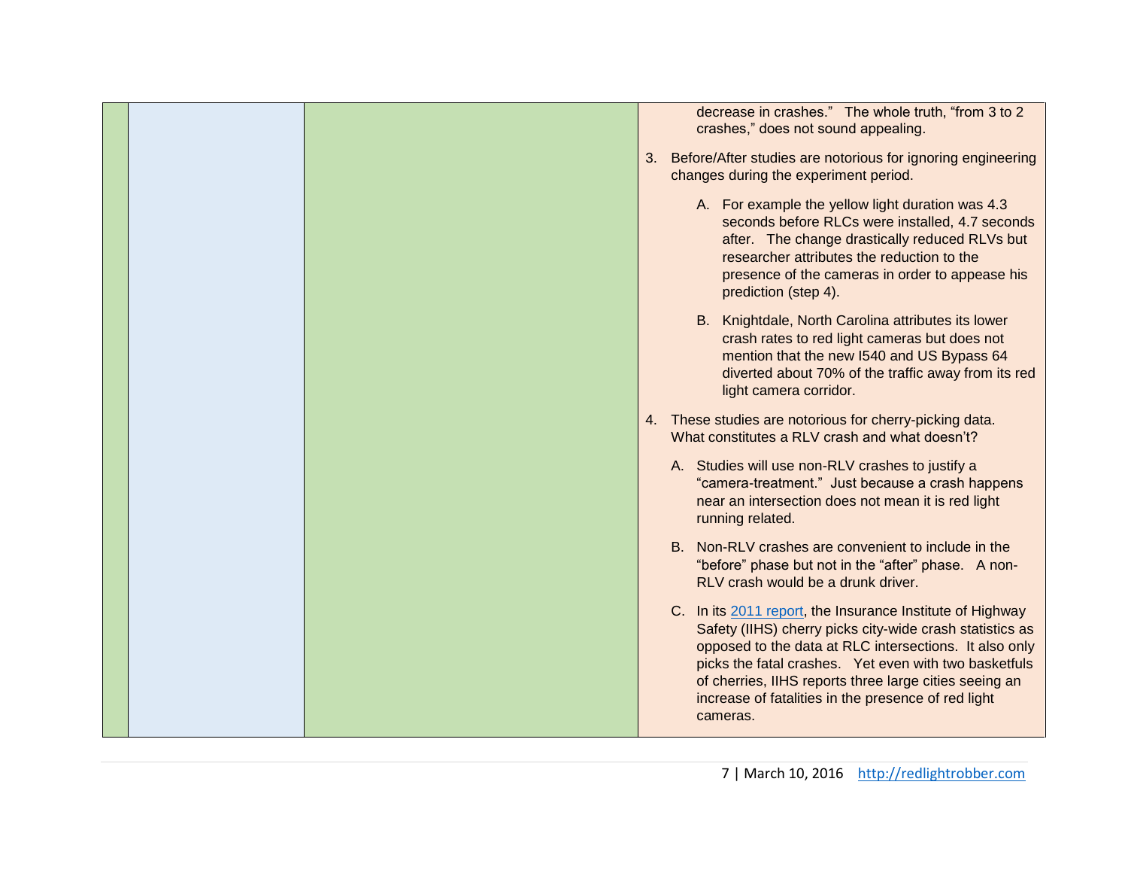| decrease in crashes." The whole truth, "from 3 to 2<br>crashes," does not sound appealing.                                                                                                                                                                                                                                                                            |
|-----------------------------------------------------------------------------------------------------------------------------------------------------------------------------------------------------------------------------------------------------------------------------------------------------------------------------------------------------------------------|
| 3. Before/After studies are notorious for ignoring engineering<br>changes during the experiment period.                                                                                                                                                                                                                                                               |
| A. For example the yellow light duration was 4.3<br>seconds before RLCs were installed, 4.7 seconds<br>after. The change drastically reduced RLVs but<br>researcher attributes the reduction to the<br>presence of the cameras in order to appease his<br>prediction (step 4).                                                                                        |
| B. Knightdale, North Carolina attributes its lower<br>crash rates to red light cameras but does not<br>mention that the new I540 and US Bypass 64<br>diverted about 70% of the traffic away from its red<br>light camera corridor.                                                                                                                                    |
| 4. These studies are notorious for cherry-picking data.<br>What constitutes a RLV crash and what doesn't?                                                                                                                                                                                                                                                             |
| A. Studies will use non-RLV crashes to justify a<br>"camera-treatment." Just because a crash happens<br>near an intersection does not mean it is red light<br>running related.                                                                                                                                                                                        |
| B. Non-RLV crashes are convenient to include in the<br>"before" phase but not in the "after" phase. A non-<br>RLV crash would be a drunk driver.                                                                                                                                                                                                                      |
| C. In its 2011 report, the Insurance Institute of Highway<br>Safety (IIHS) cherry picks city-wide crash statistics as<br>opposed to the data at RLC intersections. It also only<br>picks the fatal crashes. Yet even with two basketfuls<br>of cherries, IIHS reports three large cities seeing an<br>increase of fatalities in the presence of red light<br>cameras. |
|                                                                                                                                                                                                                                                                                                                                                                       |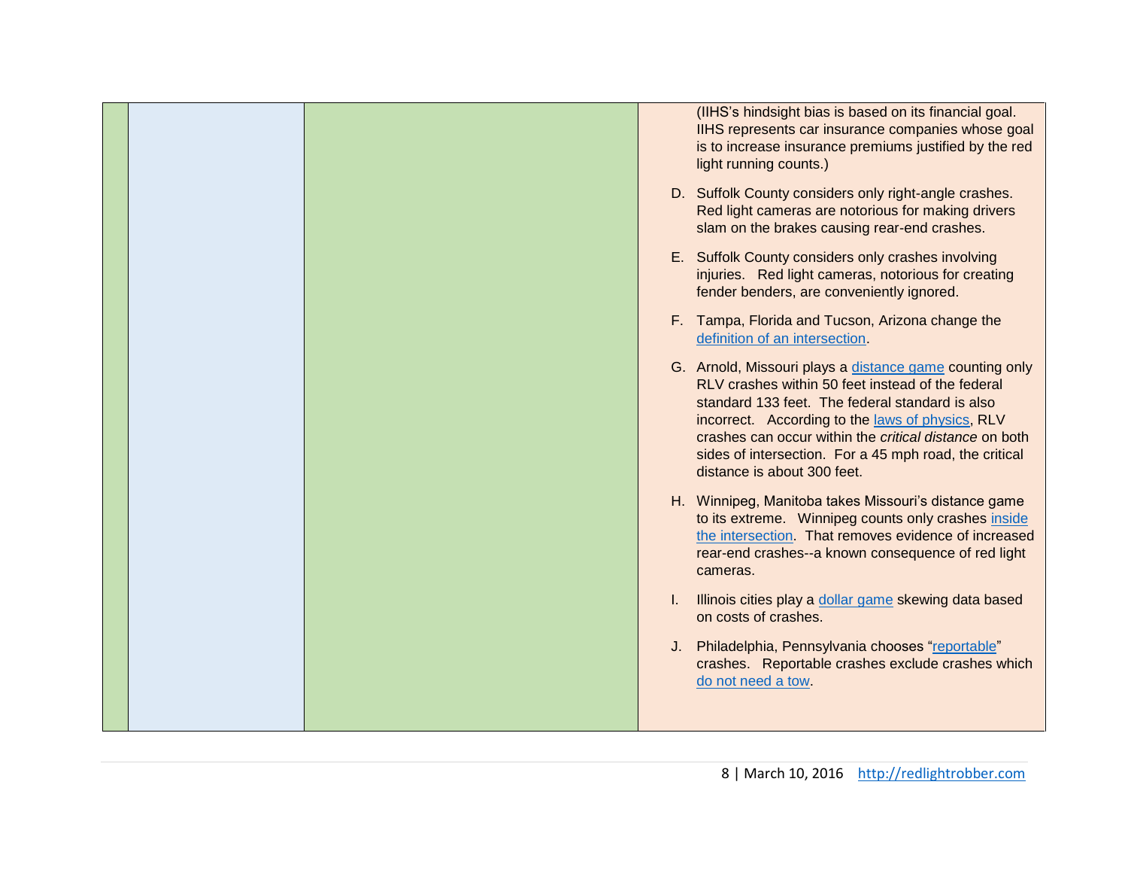|  |  | (IIHS's hindsight bias is based on its financial goal.<br>IIHS represents car insurance companies whose goal<br>is to increase insurance premiums justified by the red<br>light running counts.)                                                                                                                                                                       |
|--|--|------------------------------------------------------------------------------------------------------------------------------------------------------------------------------------------------------------------------------------------------------------------------------------------------------------------------------------------------------------------------|
|  |  | D. Suffolk County considers only right-angle crashes.<br>Red light cameras are notorious for making drivers<br>slam on the brakes causing rear-end crashes.                                                                                                                                                                                                            |
|  |  | E. Suffolk County considers only crashes involving<br>injuries. Red light cameras, notorious for creating<br>fender benders, are conveniently ignored.                                                                                                                                                                                                                 |
|  |  | F. Tampa, Florida and Tucson, Arizona change the<br>definition of an intersection.                                                                                                                                                                                                                                                                                     |
|  |  | G. Arnold, Missouri plays a distance game counting only<br>RLV crashes within 50 feet instead of the federal<br>standard 133 feet. The federal standard is also<br>incorrect. According to the laws of physics, RLV<br>crashes can occur within the critical distance on both<br>sides of intersection. For a 45 mph road, the critical<br>distance is about 300 feet. |
|  |  | H. Winnipeg, Manitoba takes Missouri's distance game<br>to its extreme. Winnipeg counts only crashes inside<br>the intersection. That removes evidence of increased<br>rear-end crashes--a known consequence of red light<br>cameras.                                                                                                                                  |
|  |  | Illinois cities play a dollar game skewing data based<br>on costs of crashes.                                                                                                                                                                                                                                                                                          |
|  |  | J. Philadelphia, Pennsylvania chooses "reportable"<br>crashes. Reportable crashes exclude crashes which<br>do not need a tow.                                                                                                                                                                                                                                          |
|  |  |                                                                                                                                                                                                                                                                                                                                                                        |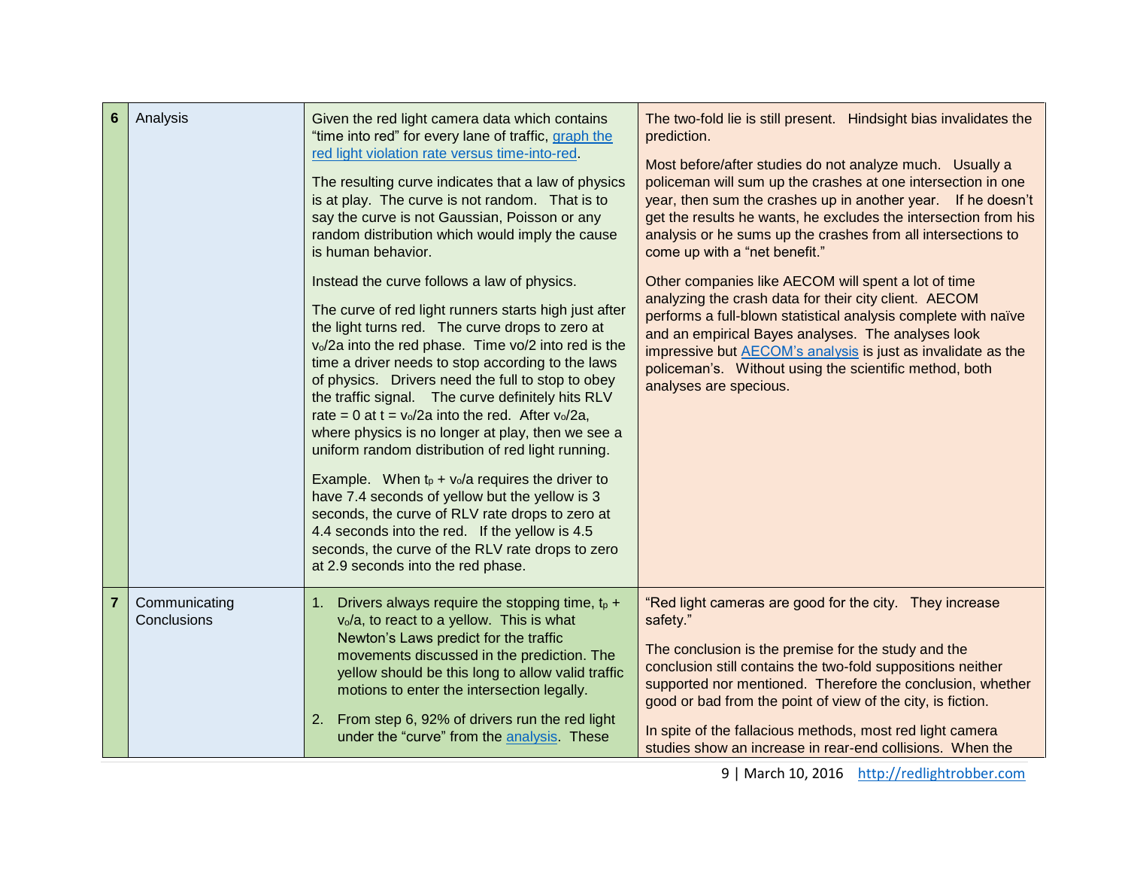| $6\phantom{1}6$ | Analysis                     | Given the red light camera data which contains<br>"time into red" for every lane of traffic, graph the<br>red light violation rate versus time-into-red.<br>The resulting curve indicates that a law of physics<br>is at play. The curve is not random. That is to<br>say the curve is not Gaussian, Poisson or any<br>random distribution which would imply the cause<br>is human behavior.                                                                                                                                                                                                                                                                                                                                                                                                                                                                           | The two-fold lie is still present. Hindsight bias invalidates the<br>prediction.<br>Most before/after studies do not analyze much. Usually a<br>policeman will sum up the crashes at one intersection in one<br>year, then sum the crashes up in another year. If he doesn't<br>get the results he wants, he excludes the intersection from his<br>analysis or he sums up the crashes from all intersections to<br>come up with a "net benefit." |
|-----------------|------------------------------|------------------------------------------------------------------------------------------------------------------------------------------------------------------------------------------------------------------------------------------------------------------------------------------------------------------------------------------------------------------------------------------------------------------------------------------------------------------------------------------------------------------------------------------------------------------------------------------------------------------------------------------------------------------------------------------------------------------------------------------------------------------------------------------------------------------------------------------------------------------------|--------------------------------------------------------------------------------------------------------------------------------------------------------------------------------------------------------------------------------------------------------------------------------------------------------------------------------------------------------------------------------------------------------------------------------------------------|
|                 |                              | Instead the curve follows a law of physics.<br>The curve of red light runners starts high just after<br>the light turns red. The curve drops to zero at<br>v <sub>o</sub> /2a into the red phase. Time vo/2 into red is the<br>time a driver needs to stop according to the laws<br>of physics. Drivers need the full to stop to obey<br>the traffic signal. The curve definitely hits RLV<br>rate = 0 at t = $v_0/2a$ into the red. After $v_0/2a$ ,<br>where physics is no longer at play, then we see a<br>uniform random distribution of red light running.<br>Example. When $t_p + v_o/a$ requires the driver to<br>have 7.4 seconds of yellow but the yellow is 3<br>seconds, the curve of RLV rate drops to zero at<br>4.4 seconds into the red. If the yellow is 4.5<br>seconds, the curve of the RLV rate drops to zero<br>at 2.9 seconds into the red phase. | Other companies like AECOM will spent a lot of time<br>analyzing the crash data for their city client. AECOM<br>performs a full-blown statistical analysis complete with naïve<br>and an empirical Bayes analyses. The analyses look<br>impressive but AECOM's analysis is just as invalidate as the<br>policeman's. Without using the scientific method, both<br>analyses are specious.                                                         |
| $\overline{7}$  | Communicating<br>Conclusions | Drivers always require the stopping time, $t_p +$<br>1.<br>v <sub>o</sub> /a, to react to a yellow. This is what<br>Newton's Laws predict for the traffic<br>movements discussed in the prediction. The<br>yellow should be this long to allow valid traffic<br>motions to enter the intersection legally.<br>2. From step 6, 92% of drivers run the red light<br>under the "curve" from the analysis. These                                                                                                                                                                                                                                                                                                                                                                                                                                                           | "Red light cameras are good for the city. They increase<br>safety."<br>The conclusion is the premise for the study and the<br>conclusion still contains the two-fold suppositions neither<br>supported nor mentioned. Therefore the conclusion, whether<br>good or bad from the point of view of the city, is fiction.<br>In spite of the fallacious methods, most red light camera<br>studies show an increase in rear-end collisions. When the |

9 | March 10, 2016 [http://redlightrobber.com](http://redlightrobber.com/)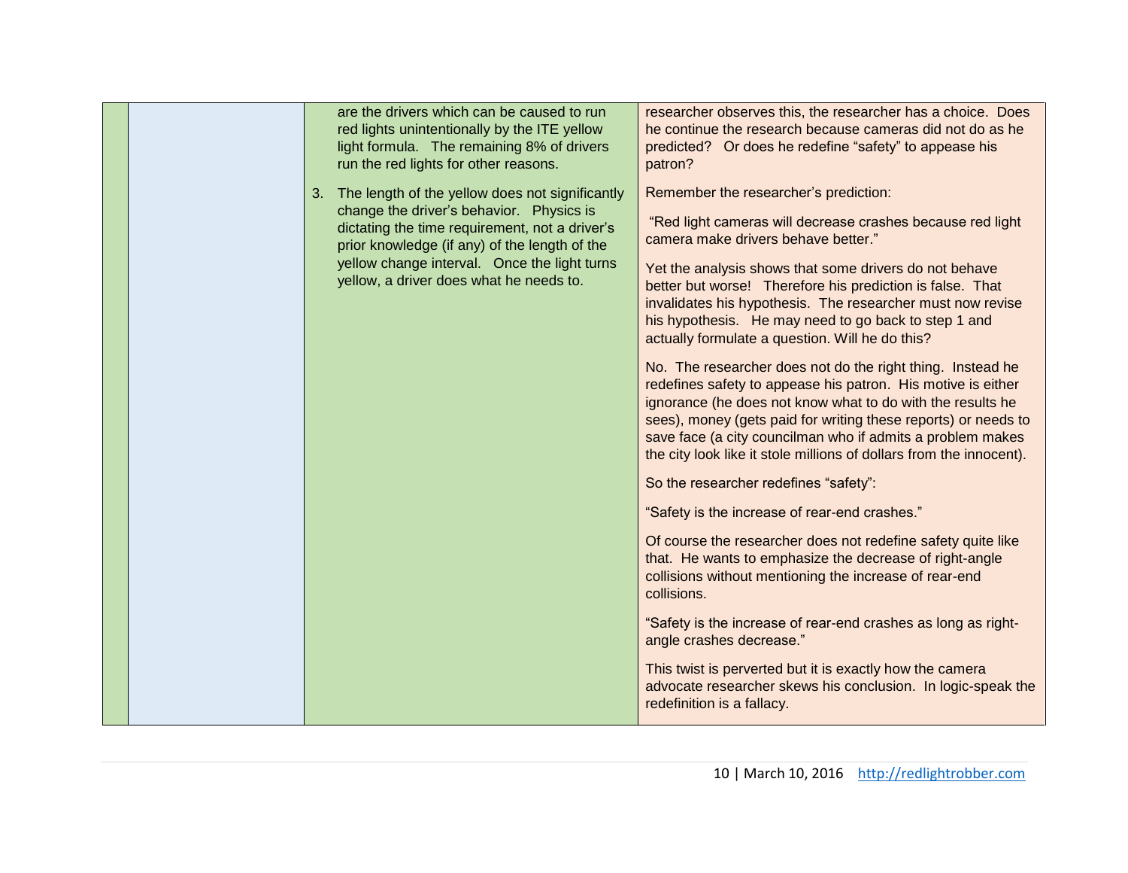| are the drivers which can be caused to run<br>red lights unintentionally by the ITE yellow<br>light formula. The remaining 8% of drivers<br>run the red lights for other reasons.<br>The length of the yellow does not significantly<br>3. | researcher observes this, the researcher has a choice. Does<br>he continue the research because cameras did not do as he<br>predicted? Or does he redefine "safety" to appease his<br>patron?<br>Remember the researcher's prediction:                                                                                                                                                                                                             |
|--------------------------------------------------------------------------------------------------------------------------------------------------------------------------------------------------------------------------------------------|----------------------------------------------------------------------------------------------------------------------------------------------------------------------------------------------------------------------------------------------------------------------------------------------------------------------------------------------------------------------------------------------------------------------------------------------------|
| change the driver's behavior. Physics is<br>dictating the time requirement, not a driver's<br>prior knowledge (if any) of the length of the<br>yellow change interval. Once the light turns<br>yellow, a driver does what he needs to.     | "Red light cameras will decrease crashes because red light<br>camera make drivers behave better."<br>Yet the analysis shows that some drivers do not behave<br>better but worse! Therefore his prediction is false. That<br>invalidates his hypothesis. The researcher must now revise<br>his hypothesis. He may need to go back to step 1 and                                                                                                     |
|                                                                                                                                                                                                                                            | actually formulate a question. Will he do this?<br>No. The researcher does not do the right thing. Instead he<br>redefines safety to appease his patron. His motive is either<br>ignorance (he does not know what to do with the results he<br>sees), money (gets paid for writing these reports) or needs to<br>save face (a city councilman who if admits a problem makes<br>the city look like it stole millions of dollars from the innocent). |
|                                                                                                                                                                                                                                            | So the researcher redefines "safety":<br>"Safety is the increase of rear-end crashes."                                                                                                                                                                                                                                                                                                                                                             |
|                                                                                                                                                                                                                                            | Of course the researcher does not redefine safety quite like<br>that. He wants to emphasize the decrease of right-angle<br>collisions without mentioning the increase of rear-end<br>collisions.                                                                                                                                                                                                                                                   |
|                                                                                                                                                                                                                                            | "Safety is the increase of rear-end crashes as long as right-<br>angle crashes decrease."                                                                                                                                                                                                                                                                                                                                                          |
|                                                                                                                                                                                                                                            | This twist is perverted but it is exactly how the camera<br>advocate researcher skews his conclusion. In logic-speak the<br>redefinition is a fallacy.                                                                                                                                                                                                                                                                                             |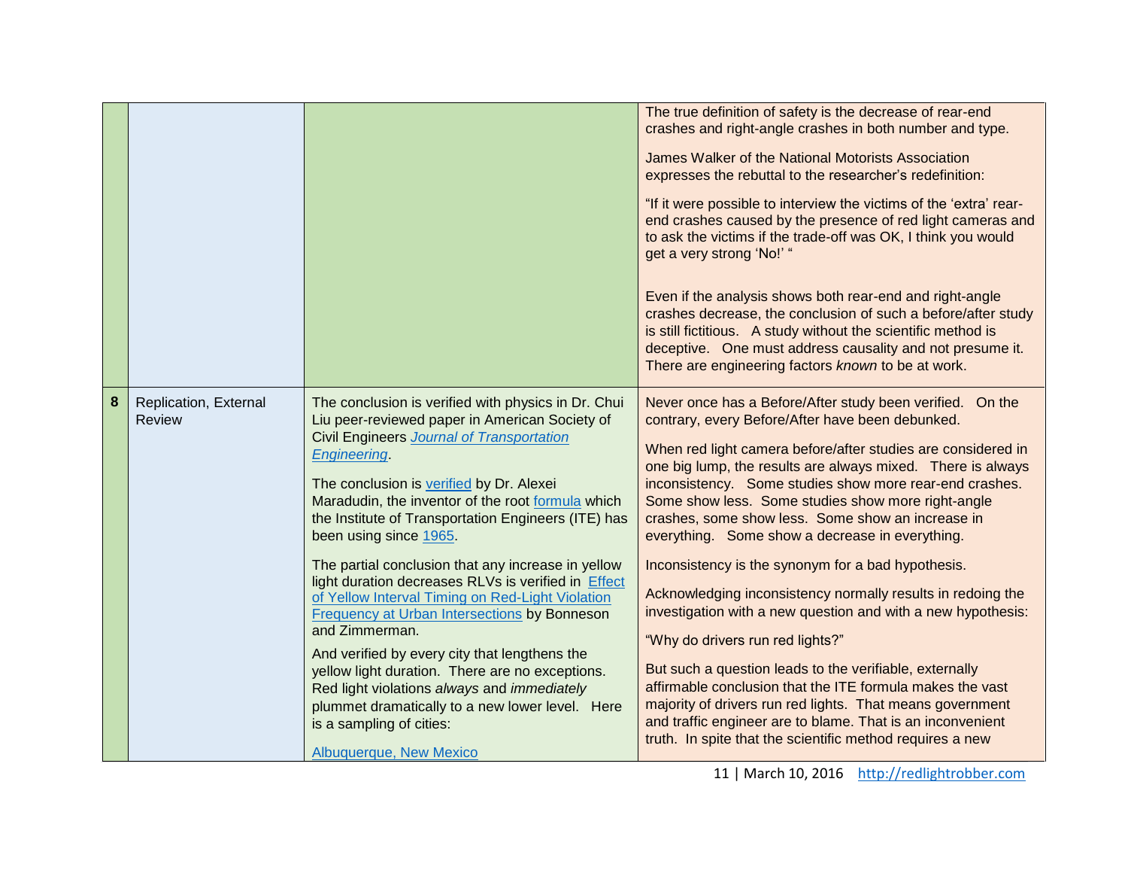|   |                                        |                                                                                                                                                                                                                                                                                                                                                                                                                                                                                                                                                                                                                                                                                                                                                                                                                                                                   | The true definition of safety is the decrease of rear-end<br>crashes and right-angle crashes in both number and type.<br>James Walker of the National Motorists Association<br>expresses the rebuttal to the researcher's redefinition:<br>"If it were possible to interview the victims of the 'extra' rear-<br>end crashes caused by the presence of red light cameras and<br>to ask the victims if the trade-off was OK, I think you would<br>get a very strong 'No!' "<br>Even if the analysis shows both rear-end and right-angle<br>crashes decrease, the conclusion of such a before/after study<br>is still fictitious. A study without the scientific method is<br>deceptive. One must address causality and not presume it.<br>There are engineering factors known to be at work.                                                                                                                                                                                                                    |
|---|----------------------------------------|-------------------------------------------------------------------------------------------------------------------------------------------------------------------------------------------------------------------------------------------------------------------------------------------------------------------------------------------------------------------------------------------------------------------------------------------------------------------------------------------------------------------------------------------------------------------------------------------------------------------------------------------------------------------------------------------------------------------------------------------------------------------------------------------------------------------------------------------------------------------|----------------------------------------------------------------------------------------------------------------------------------------------------------------------------------------------------------------------------------------------------------------------------------------------------------------------------------------------------------------------------------------------------------------------------------------------------------------------------------------------------------------------------------------------------------------------------------------------------------------------------------------------------------------------------------------------------------------------------------------------------------------------------------------------------------------------------------------------------------------------------------------------------------------------------------------------------------------------------------------------------------------|
| 8 | Replication, External<br><b>Review</b> | The conclusion is verified with physics in Dr. Chui<br>Liu peer-reviewed paper in American Society of<br><b>Civil Engineers Journal of Transportation</b><br><b>Engineering</b><br>The conclusion is verified by Dr. Alexei<br>Maradudin, the inventor of the root formula which<br>the Institute of Transportation Engineers (ITE) has<br>been using since 1965.<br>The partial conclusion that any increase in yellow<br>light duration decreases RLVs is verified in Effect<br>of Yellow Interval Timing on Red-Light Violation<br>Frequency at Urban Intersections by Bonneson<br>and Zimmerman.<br>And verified by every city that lengthens the<br>yellow light duration. There are no exceptions.<br>Red light violations always and immediately<br>plummet dramatically to a new lower level. Here<br>is a sampling of cities:<br>Albuquerque, New Mexico | Never once has a Before/After study been verified. On the<br>contrary, every Before/After have been debunked.<br>When red light camera before/after studies are considered in<br>one big lump, the results are always mixed. There is always<br>inconsistency. Some studies show more rear-end crashes.<br>Some show less. Some studies show more right-angle<br>crashes, some show less. Some show an increase in<br>everything. Some show a decrease in everything.<br>Inconsistency is the synonym for a bad hypothesis.<br>Acknowledging inconsistency normally results in redoing the<br>investigation with a new question and with a new hypothesis:<br>"Why do drivers run red lights?"<br>But such a question leads to the verifiable, externally<br>affirmable conclusion that the ITE formula makes the vast<br>majority of drivers run red lights. That means government<br>and traffic engineer are to blame. That is an inconvenient<br>truth. In spite that the scientific method requires a new |

11 | March 10, 2016 [http://redlightrobber.com](http://redlightrobber.com/)